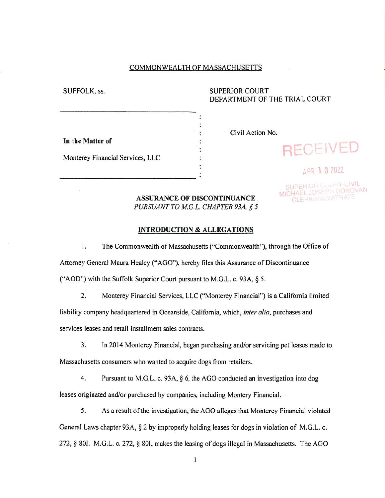## COMMONWEALTH OF MASSACHUSETTS

# SUFFOLK, ss. SUPERIOR COURT DEPARTMENT OF THE TRIAL COURT

| In the Matter of |
|------------------|
|------------------|

Civil Action No.

Monterey Financial Services, LLC

# **APR 1 3 2022**

**In the Matter of** received

SUPERIOR COURT-CIVIL MICHAEL JOSEPH DONOVAN

## **ASSURANCE OF DISCONTINUANCE** *PURSUANT TO M.G.L. CHAPTER 93A, § 5*

#### **INTRODUCTION** *&* **ALLEGATIONS**

1. The Commonwealth of Massachusetts ("Commonwealth"), through the Office of

Attorney General Maura Healey ("AGO"), hereby files this Assurance of Discontinuance

("AOD") with the Suffolk Superior Court pursuant to M.G.L. c. 93A, § 5.

2. Monterey Financial Services, LLC ("Monterey Financial") is a California limited

liability company headquartered in Oceanside, California, which, *inter alia,* purchases and

services leases and retail installment sales contracts.

3. In 2014 Monterey Financial, began purchasing and/or servicing pet leases made to

Massachusetts consumers who wanted to acquire dogs from retailers.

4. Pursuant to M.G.L. c. 93A, § 6, the AGO conducted an investigation into dog leases originated and/or purchased by companies, including Montery Financial.

5. As a result ofthe investigation, the AGO alleges that Monterey Financial violated General Laws chapter 93A, § 2 by improperly holding leases for dogs in violation of M.G.L. c. 272, § 801. M.G.L. c. 272, § 801, makes the leasing of dogs illegal in Massachusetts. The AGO

 $\mathbf{I}$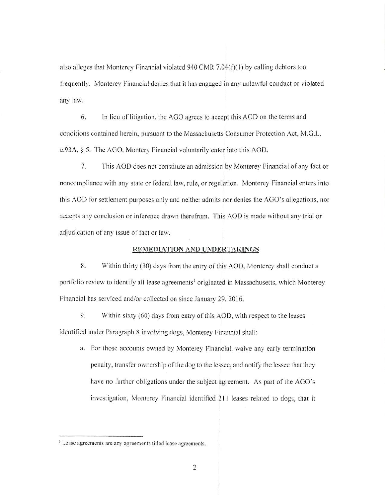also alleges that Monterey Financial violated 940 CMR 7.04(f)(1) by calling debtors too frequently, Monterey Financial denies that it has engaged in any unlawful conduct or violated any law,

6. In lieu of litigation, the AGO agrees to accept this AOD on the terms and conditions contained herein, pursuant to the Massachusetts Consumer Protection Act, M.G.L. c.93A, § 5, The AGO. Montery Financial voluntarily enter into this AOD.

7. This AOD does not constitute an admission by Monterey Financial of any fact or noncompliance with any state or federal law, rule, or regulation. Monterey Financial enters into this AOD for settlement purposes only and neither admits nor denies the AGO's allegations, nor accepts any conclusion or inference drawn therefrom. This AOD is made without any trial or adjudication of any issue of fact or law.

#### **REMEDIATION AND UNDERTAKINGS**

8. Within thirty (30) days from the entry of this AOD, Monterey shall conduct a portfolio review to identify all lease agreements<sup>1</sup> originated in Massachusetts, which Monterey Financial has serviced and/or collected on since January 29, 2016.

9. Within sixty (60) days from entry of this AOD, with respect to the leases identified under Paragraph 8 involving dogs, Monterey Financial shall:

a. For those accounts owned by Monterey Financial, waive any early termination penalty, transfer ownership of the dog to the lessee, and notify the lessee that they have no further obligations under the subject agreement. As part of the AGO's investigation, Monterey Financial identified 211 leases related to dogs, that it

<sup>&</sup>lt;sup>1</sup> Lease agreements are any agreements titled lease agreements.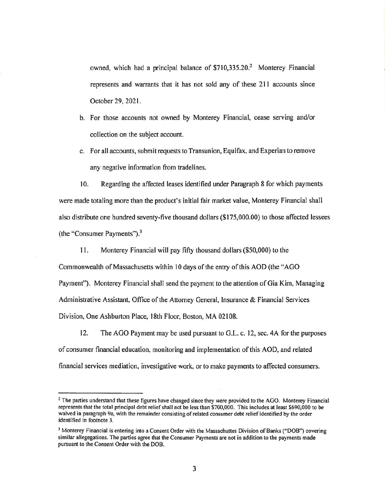owned, which had a principal balance of \$710,335.20.<sup>2</sup> Monterey Financial represents and warrants that it has not sold any of these 211 accounts since October 29, 2021.

- b. For those accounts not owned by Monterey Financial, cease serving and/or collection on the subject account.
- c. For all accounts, submit requests to Transunion, Equifax, and Experian to remove any negative information from tradelines.

10. Regarding the affected leases identified under Paragraph 8 for which payments were made totaling more than the product's initial fair market value, Monterey Financial shall also distribute one hundred seventy-five thousand dollars (\$175,000.00) to those affected lessees (the "Consumer Payments").3

11. Monterey Financial will pay fifty thousand dollars (\$50,000) to the Commonwealth of Massachusetts within 10 days of the entry of this AOD (the "AGO Payment"). Monterey Financial shall send the payment to the attention of Gia Kim, Managing Administrative Assistant, Office of the Attorney General, Insurance & Financial Services Division, One Ashburton Place, 18th Floor, Boston, MA 02108.

12. The AGO Payment may be used pursuant to G.L. c. 12, sec. 4A for the purposes of consumer financial education, monitoring and implementation ofthis AOD, and related financial services mediation, investigative work, or to make payments to affected consumers.

The parties understand that these figures have changed since they were provided to the AGO. Monterey Financial represents that the total principal debt relief shall not be less than \$700,000. This includes at least \$690,000 to be **waived in paragraph 9a, with the remainder consisting of related consumer debt reliefidentified by the order identified in footnote 3.**

**<sup>3</sup> Monterey Financial is entering into a Consent Order with the Massachuttes Division ofBanks ("DOB") covering** similar allegegations. The parties agree that the Consumer Payments are not in addition to the payments made **pursuant to the Consent Order with the DOB.**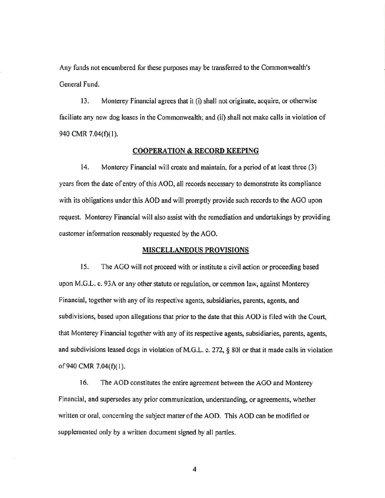Any funds not encumbered for these purposes may be transferred to the Commonwealth's General Fund.

13. Monterey Financial agrees that it (i) shall not originate, acquire, or otherwise faciliate any new dog leases in the Commonwealth; and (ii) shall not make calls in violation of 940 CMR 7.04(f)(1).

#### **COOPERATION & RECORD KEEPING**

14. Monterey Financial will create and maintain, for a period of at least three (3) years from the date of entry of this AOD, all records necessary to demonstrate its compliance with its obligations under this AOD and will promptly provide such records to the AGO upon request. Monterey Financial will also assist with the remediation and undertakings by providing customer information reasonably requested by the AGO.

# **MISCELLANEOUS PROVISIONS**

15. The AGO will not proceed with or institute a civil action or proceeding based upon M.G.L. c. 93A or any other statute or regulation, or common law, against Monterey Financial, together with any of its respective agents, subsidiaries, parents, agents, and subdivisions, based upon allegations that prior to the date that this AOD is filed with the Court, that Monterey Financial together with any of its respective agents, subsidiaries, parents, agents, and subdivisions leased dogs in violation of M.G.L. c. 272,  $\S$  80I or that it made calls in violation of 940 CMR 7.04(f)(1).

16. The AOD constitutes the entire agreement between the AGO and Monterey Financial, and supersedes any prior communication, understanding, or agreements, whether written or oral, concerning the subject matter of the AOD. This AOD can be modified or supplemented only by a written document signed by all parties.

4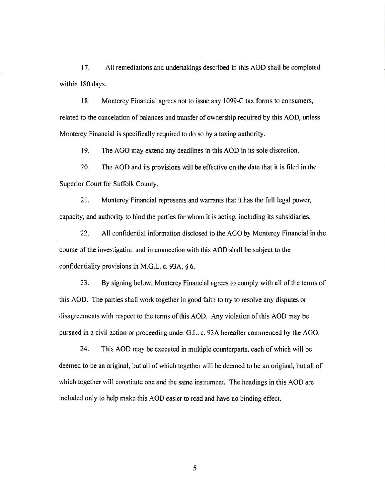17. All remediations and undertakings described in this AOD shall be completed within 180 days.

18. Monterey Financial agrees not to issue any 1099-C tax forms to consumers, related to the cancelation of balances and transfer of ownership required by this AOD, unless Monterey Financial is specifically required to do so by a taxing authority.

19. The AGO may extend any deadlines in this AOD in its sole discretion.

20. The AOD and its provisions will be effective on the date that it is filed in the Superior Court for Suffolk County.

21. Monterey Financial represents and warrants that it has the full legal power, capacity, and authority to bind the parties for whom it is acting, including its subsidiaries.

22. All confidential information disclosed to the AGO by Monterey Financial in the course of the investigation and in connection with this AOD shall be subject to the confidentiality provisions in M.G.L. c. 93A, § 6.

23. By signing below, Monterey Financial agrees to comply with all of the terms of this AOD. The parties shall work together in good faith to try to resolve any disputes or disagreements with respect to the terms ofthis AOD. Any violation ofthis AOD may be pursued in a civil action or proceeding under G.L. c. 93A hereafter commenced by the AGO.

24. This AOD may be executed in multiple counterparts, each of which will be deemed to be an original, but all of which together will be deemed to be an original, but all of which together will constitute one and the same instrument. The headings in this AOD are included only to help make this AOD easier to read and have no binding effect.

5